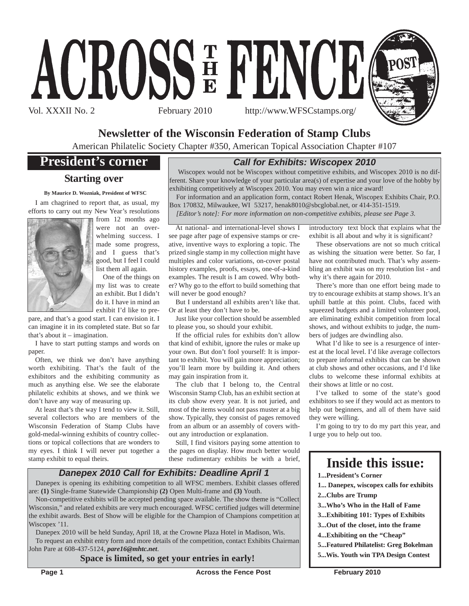



# **Newsletter of the Wisconsin Federation of Stamp Clubs**

American Philatelic Society Chapter #350, American Topical Association Chapter #107

# **President's corner**

### **Starting over**

#### **By Maurice D. Wozniak, President of WFSC**

I am chagrined to report that, as usual, my efforts to carry out my New Year's resolutions



from 12 months ago were not an overwhelming success. I made some progress, and I guess that's good, but I feel I could list them all again.

One of the things on my list was to create an exhibit. But I didn't do it. I have in mind an exhibit I'd like to pre-

pare, and that's a good start. I can envision it. I can imagine it in its completed state. But so far that's about it – imagination.

I have to start putting stamps and words on paper.

Often, we think we don't have anything worth exhibiting. That's the fault of the exhibitors and the exhibiting community as much as anything else. We see the elaborate philatelic exhibits at shows, and we think we don't have any way of measuring up.

At least that's the way I tend to view it. Still, several collectors who are members of the Wisconsin Federation of Stamp Clubs have gold-medal-winning exhibits of country collections or topical collections that are wonders to my eyes. I think I will never put together a stamp exhibit to equal theirs.

## *Call for Exhibits: Wiscopex 2010*

Wiscopex would not be Wiscopex without competitive exhibits, and Wiscopex 2010 is no different. Share your knowledge of your particular area(s) of expertise and your love of the hobby by exhibiting competitively at Wiscopex 2010. You may even win a nice award!

For information and an application form, contact Robert Henak, Wiscopex Exhibits Chair, P.O. Box 170832, Milwaukee, WI 53217, henak8010@sbcglobal.net, or 414-351-1519.

*[Editor's note]: For more information on non-competitive exhibits, please see Page 3.*

At national- and international-level shows I see page after page of expensive stamps or creative, inventive ways to exploring a topic. The prized single stamp in my collection might have multiples and color variations, on-cover postal history examples, proofs, essays, one-of-a-kind examples. The result is I am cowed. Why bother? Why go to the effort to build something that will never be good enough?

But I understand all exhibits aren't like that. Or at least they don't have to be.

Just like your collection should be assembled to please you, so should your exhibit.

If the official rules for exhibits don't allow that kind of exhibit, ignore the rules or make up your own. But don't fool yourself: It is important to exhibit. You will gain more appreciation; you'll learn more by building it. And others may gain inspiration from it.

The club that I belong to, the Central Wisconsin Stamp Club, has an exhibit section at its club show every year. It is not juried, and most of the items would not pass muster at a big show. Typically, they consist of pages removed from an album or an assembly of covers without any introduction or explanation.

Still, I find visitors paying some attention to the pages on display. How much better would these rudimentary exhibits be with a brief,

*Danepex 2010 Call for Exhibits: Deadline April 1*

Danepex is opening its exhibiting competition to all WFSC members. Exhibit classes offered are: **(1)** Single-frame Statewide Championship **(2)** Open Multi-frame and **(3)** Youth.

Non-competitive exhibits will be accepted pending space available. The show theme is "Collect Wisconsin," and related exhibits are very much encouraged. WFSC certified judges will determine the exhibit awards. Best of Show will be eligible for the Champion of Champions competition at Wiscopex '11.

Danepex 2010 will be held Sunday, April 18, at the Crowne Plaza Hotel in Madison, Wis. To request an exhibit entry form and more details of the competition, contact Exhibits Chairman John Pare at 608-437-5124, *pare16@mhtc.net*.

**Space is limited, so get your entries in early!**

introductory text block that explains what the exhibit is all about and why it is significant?

These observations are not so much critical as wishing the situation were better. So far, I have not contributed much. That's why assembling an exhibit was on my resolution list - and why it's there again for 2010.

There's more than one effort being made to try to encourage exhibits at stamp shows. It's an uphill battle at this point. Clubs, faced with squeezed budgets and a limited volunteer pool, are eliminating exhibit competition from local shows, and without exhibits to judge, the numbers of judges are dwindling also.

What I'd like to see is a resurgence of interest at the local level. I'd like average collectors to prepare informal exhibits that can be shown at club shows and other occasions, and I'd like clubs to welcome these informal exhibits at their shows at little or no cost.

I've talked to some of the state's good exhibitors to see if they would act as mentors to help out beginners, and all of them have said they were willing.

I'm going to try to do my part this year, and I urge you to help out too.

# **Inside this issue:**

- **1...President's Corner**
- **1... Danepex, wiscopex calls for exhibits**
- **2...Clubs are Trump**
- **3...Who's Who in the Hall of Fame**
- **3...Exhibiting 101: Types of Exhibits**
- **3...Out of the closet, into the frame**
- **4...Exhibiting on the "Cheap"**
- **5...Featured Philatelist: Greg Bokelman**
- **5...Wis. Youth win TPA Design Contest**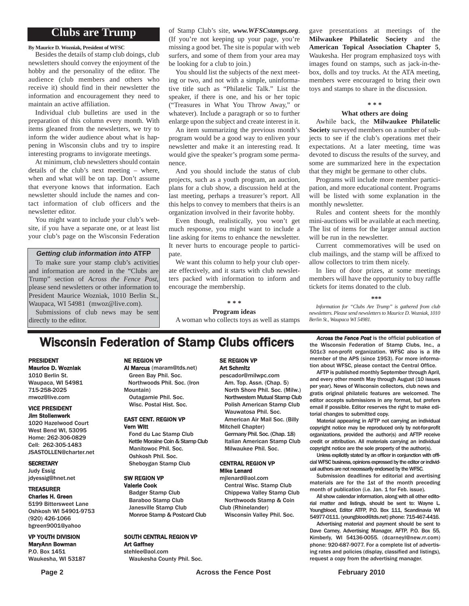# **Clubs are Trump**

**By Maurice D. Wozniak, President of WFSC**

Besides the details of stamp club doings, club newsletters should convey the enjoyment of the hobby and the personality of the editor. The audience (club members and others who receive it) should find in their newsletter the information and encouragement they need to maintain an active affiliation.

Individual club bulletins are used in the preparation of this column every month. With items gleaned from the newsletters, we try to inform the wider audience about what is happening in Wisconsin clubs and try to inspire interesting programs to invigorate meetings.

At minimum, club newsletters should contain details of the club's next meeting – where, when and what will be on tap. Don't assume that everyone knows that information. Each newsletter should include the names and contact information of club officers and the newsletter editor.

You might want to include your club's website, if you have a separate one, or at least list your club's page on the Wisconsin Federation

#### *Getting club information into* **ATFP**

To make sure your stamp club's activities and information are noted in the "Clubs are Trump" section of *Across the Fence Post*, please send newsletters or other information to President Maurice Wozniak, 1010 Berlin St., Waupaca, WI 54981 (mwoz@live.com). Submissions of club news may be sent directly to the editor.

of Stamp Club's site, *www.WFSCstamps.org*. (If you're not keeping up your page, you're missing a good bet. The site is popular with web surfers, and some of them from your area may be looking for a club to join.)

You should list the subjects of the next meeting or two, and not with a simple, uninformative title such as "Philatelic Talk." List the speaker, if there is one, and his or her topic ("Treasures in What You Throw Away," or whatever). Include a paragraph or so to further enlarge upon the subject and create interest in it.

An item summarizing the previous month's program would be a good way to enliven your newsletter and make it an interesting read. It would give the speaker's program some permanence.

And you should include the status of club projects, such as a youth program, an auction, plans for a club show, a discussion held at the last meeting, perhaps a treasurer's report. All this helps to convey to members that theirs is an organization involved in their favorite hobby.

Even though, realistically, you won't get much response, you might want to include a line asking for items to enhance the newsletter. It never hurts to encourage people to participate.

We want this column to help your club operate effectively, and it starts with club newsletters packed with information to inform and encourage the membership.

**\* \* \***

**Program ideas** A woman who collects toys as well as stamps

gave presentations at meetings of the **Milwaukee Philatelic Society** and the **American Topical Association Chapter 5**, Waukesha. Her program emphasized toys with images found on stamps, such as jack-in-thebox, dolls and toy trucks. At the ATA meeting, members were encouraged to bring their own toys and stamps to share in the discussion.

#### **\* \* \***

#### **What others are doing**

Awhile back, the **Milwaukee Philatelic Society** surveyed members on a number of subjects to see if the club's operations met their expectations. At a later meeting, time was devoted to discuss the results of the survey, and some are summarized here in the expectation that they might be germane to other clubs.

Programs will include more member participation, and more educational content. Programs will be listed with some explanation in the monthly newsletter.

Rules and content sheets for the monthly mini-auctions will be available at each meeting. The list of items for the larger annual auction will be run in the newsletter.

Current commemoratives will be used on club mailings, and the stamp will be affixed to allow collectors to trim them nicely.

In lieu of door prizes, at some meetings members will have the opportunity to buy raffle tickets for items donated to the club.

#### **\*\*\***

*Information for "Clubs Are Trump" is gathered from club newsletters. Please send newsletters to Maurice D. Wozniak, 1010 Berlin St., Waupaca WI 54981.*

# **Wisconsin Federation of Stamp Clubs officers** *Across the Fence Post* is the official publication of stamp Clubs, Inc., a

#### PRESIDENT Maurice D. Wozniak

1010 Berlin St. Waupaca, WI 54981 715-258-2025 mwoz@live.com

#### VICE PRESIDENT Jim Stollenwerk

1020 Hazelwood Court West Bend WI, 53095 Home: 262-306-0829 Cell: 262-305-1483 JSASTOLLEN@charter.net

#### **SECRETARY**

Judy Essig jdyessig@hnet.net

#### TREASURER

Charles H. Green 5199 Bittersweet Lane Oshkosh WI 54901-9753 (920) 426-1066 bgreen9001@yahoo

#### VP YOUTH DIVISION

MaryAnn Bowman P.O. Box 1451 Waukesha, WI 53187

#### NE REGION VP

Al Marcus (maram@tds.net) Green Bay Phil. Soc. Northwoods Phil. Soc. (Iron Mountain) Outagamie Phil. Soc. Wisc. Postal Hist. Soc.

#### EAST CENT. REGION VP Vern Witt

Fond du Lac Stamp Club Kettle Moraine Coin & Stamp Club Manitowoc Phil. Soc. Oshkosh Phil. Soc. Sheboygan Stamp Club

#### SW REGION VP

Valerie Cook Badger Stamp Club Baraboo Stamp Club Janesville Stamp Club Monroe Stamp & Postcard Club

#### SOUTH CENTRAL REGION VP Art Gaffney

stehlee@aol.com Waukesha County Phil. Soc.

#### SE REGION VP Art Schmitz

pescador@milwpc.com Am. Top. Assn. (Chap. 5) North Shore Phil. Soc. (Milw.) Northwestern Mutual Stamp Club Polish American Stamp Club Wauwatosa Phil. Soc.

- American Air Mail Soc. (Billy Mitchell Chapter)
- Germany Phil. Soc. (Chap. 18) Italian American Stamp Club Milwaukee Phil. Soc.

#### CENTRAL REGION VP Mike Lenard

mjlenard@aol.com Central Wisc. Stamp Club Chippewa Valley Stamp Club Northwoods Stamp & Coin Club (Rhinelander)

Wisconsin Valley Phil. Soc.

the Wisconsin Federation of Stamp Clubs, Inc., a 501c3 non-profit organization. WFSC also is a life member of the APS (since 1953). For more information about WFSC, please contact the Central Office.

AFTP is published monthly September through April, and every other month May through August (10 issues per year). News of Wisconsin collectors, club news and gratis original philatelic features are welcomed. The editor accepts submissions in any format, but prefers email if possible. Editor reserves the right to make editorial changes to submitted copy.

Material appearing in AFTP not carrying an individual copyright notice may be reproduced only by not-for-profit organizations, provided the author(s) and AFTP receive credit or attribution. All materials carrying an individual copyright notice are the sole property of the author(s).

Unless explicitly stated by an officer in conjunction with official WFSC business, opinions expressed by the editor or individual authors are not necessarily endorsed by the WFSC.

Submission deadlines for editorial and avertising materials are for the 1st of the month preceding month of publication (i.e. Jan. 1 for Feb. issue).

All show calendar information, along with all other editorial matter and listings, should be sent to: Wayne L. Youngblood, Editor ATFP, P.O. Box 111, Scandinavia WI 54977-0111. (youngblood@tds.net) phone: 715-467-4416.

Advertising material and payment should be sent to Dave Carney, Advertising Manager, AFTP, P.O. Box 55, Kimberly, WI 54136-0055. (dcarneyl@new.rr.com) phone: 920-687-9077. For a complete list of advertising rates and policies (display, classified and listings), request a copy from the advertising manager.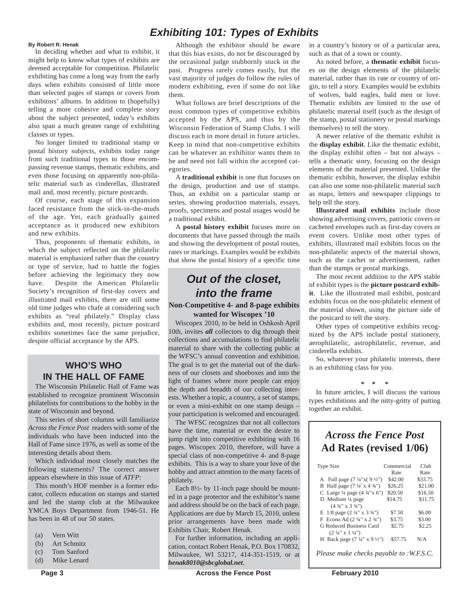#### **By Robert R. Henak**

In deciding whether and what to exhibit, it might help to know what types of exhibits are deemed acceptable for competition. Philatelic exhibiting has come a long way from the early days when exhibits consisted of little more than selected pages of stamps or covers from exhibitors' albums. In addition to (hopefully) telling a more cohesive and complete story about the subject presented, today's exhibits also span a much greater range of exhibiting classes or types.

No longer limited to traditional stamp or postal history subjects, exhibits today range from such traditional types to those encompassing revenue stamps, thematic exhibits, and even those focusing on apparently non-philatelic material such as cinderellas, illustrated mail and, most recently, picture postcards.

Of course, each stage of this expansion faced resistance from the stick-in-the-muds of the age. Yet, each gradually gained acceptance as it produced new exhibitors and new exhibits.

Thus, proponents of thematic exhibits, in which the subject reflected on the philatelic material is emphasized rather than the country or type of service, had to battle the fogies before achieving the legitimacy they now have. Despite the American Philatelic Society's recognition of first-day covers and illustrated mail exhibits, there are still some old time judges who chafe at considering such exhibits as "real philately." Display class exhibits and, most recently, picture postcard exhibits sometimes face the same prejudice, despite official acceptance by the APS.

### **WHO'S WHO IN THE HALL OF FAME**

The Wisconsin Philatelic Hall of Fame was established to recognize prominent Wisconsin philatelists for contributions to the hobby in the state of Wisconsin and beyond.

This series of short columns will familiarize *Across the Fence Post* readers with some of the individuals who have been inducted into the Hall of Fame since 1976, as well as some of the interesting details about them.

Which individual most closely matches the following statements? The correct answer appears elsewhere in this issue of *ATFP*:

This month's HOF member is a former educator, collects education on stamps and started and led the stamp club at the Milwaukee YMCA Boys Department from 1946-51. He has been in 48 of our 50 states.

- (a) Vern Witt
- (b) Art Schmitz
- (c) Tom Sanford
- (d) Mike Lenard

# *Exhibiting 101: Types of Exhibits*

Although the exhibitor should be aware that this bias exists, do not be discouraged by the occasional judge stubbornly stuck in the past. Progress rarely comes easily, but the vast majority of judges do follow the rules of modern exhibiting, even if some do not like them.

What follows are brief descriptions of the most common types of competitive exhibits accepted by the APS, and thus by the Wisconsin Federation of Stamp Clubs. I will discuss each in more detail in future articles. Keep in mind that non-competitive exhibits can be whatever an exhibitor wants them to be and need not fall within the accepted categories.

A **traditional exhibit** is one that focuses on the design, production and use of stamps. Thus, an exhibit on a particular stamp or series, showing production materials, essays, proofs, specimens and postal usages would be a traditional exhibit.

A **postal history exhibit** focuses more on documents that have passed through the mails and showing the development of postal routes, rates or markings. Examples would be exhibits that show the postal history of a specific time

# *Out of the closet, into the frame*

#### **Non-Competitive 4- and 8-page exhibits wanted for Wiscopex '10**

Wiscopex 2010, to be held in Oshkosh April 10th, invites *all* collectors to dig through their collections and accumulations to find philatelic material to share with the collecting public at the WFSC's annual convention and exhibition. The goal is to get the material out of the darkness of our closets and shoeboxes and into the light of frames where more people can enjoy the depth and breadth of our collecting interests. Whether a topic, a country, a set of stamps, or even a mini-exhibit on one stamp design – your participation is welcomed and encouraged.

The WFSC recognizes that not all collectors have the time, material or even the desire to jump right into competitive exhibiting with 16 pages. Wiscopex 2010, therefore, will have a special class of non-competitive 4- and 8-page exhibits. This is a way to share your love of the hobby and attract attention to the many facets of philately.

Each 8½- by 11-inch page should be mounted in a page protector and the exhibitor's name and address should be on the back of each page. Applications are due by March 15, 2010, unless prior arrangements have been made with Exhibits Chair, Robert Henak.

For further information, including an application, contact Robert Henak, P.O. Box 170832, Milwaukee, WI 53217, 414-351-1519, or at *henak8010@sbcglobal.net*.

in a country's history or of a particular area, such as that of a town or county.

As noted before, a **thematic exhibit** focuses on the design elements of the philatelic material, rather than its rate or country of origin, to tell a story. Examples would be exhibits of wolves, bald eagles, bald men or love. Thematic exhibits are limited to the use of philatelic material itself (such as the design of the stamp, postal stationery or postal markings themselves) to tell the story.

A newer relative of the thematic exhibit is the **display exhibit**. Like the thematic exhibit, the display exhibit often – but not always – tells a thematic story, focusing on the design elements of the material presented. Unlike the thematic exhibit, however, the display exhibit can also use some non-philatelic material such as maps, letters and newspaper clippings to help tell the story.

**Illustrated mail exhibits** include those showing advertising covers, patriotic covers or cacheted envelopes such as first-day covers or event covers. Unlike most other types of exhibits, illustrated mail exhibits focus on the non-philatelic aspects of the material shown, such as the cachet or advertisement, rather than the stamps or postal markings.

The most recent addition to the APS stable of exhibit types is the **picture postcard exhibit**. Like the illustrated mail exhibit, postcard exhibits focus on the non-philatelic element of the material shown, using the picture side of the postcard to tell the story.

Other types of competitive exhibits recognized by the APS include postal stationery, aerophilatelic, astrophilatelic, revenue, and cinderella exhibits.

So, whatever your philatelic interests, there is an exhibiting class for you.

**\* \* \***

In future articles, I will discuss the various types exhibitions and the nitty-gritty of putting together an exhibit.

# *Across the Fence Post* **Ad Rates (revised 1/06)**

| <b>Type Size</b>                                   | Commercial | Club    |
|----------------------------------------------------|------------|---------|
|                                                    | Rate       | Rate    |
| A Full page $(7\frac{1}{4}x(9\frac{1}{2}y))$       | \$42.00    | \$33.75 |
| B Half page $(7\frac{1}{4} \times 4\frac{3}{4})$   | \$26.25    | \$21.00 |
| C Large $\frac{1}{4}$ page $(4 \frac{3}{4} x 6'')$ | \$20.50    | \$16.50 |
| D Medium $\frac{1}{4}$ page                        | \$14.75    | \$11.75 |
| $(4\frac{3}{4}$ " x 3 $\frac{3}{4}$ ")             |            |         |
| E $1/8$ page $(2\frac{1}{4}$ " x $3\frac{3}{4}$ ") | \$7.50     | \$6.00  |
| F Econo Ad $(2\frac{1}{4}$ " x $2\frac{3}{4}$ ")   | \$3.75     | \$3.00  |
| G Reduced Business Card                            | \$2.75     | \$2.25  |
| $(2 \frac{1}{4}$ " x 1 $\frac{1}{4}$ ")            |            |         |
| H Back page $(7\frac{1}{4}$ " x 9 $\frac{1}{2}$ ") | \$57.75    | N/A     |
| Please make checks payable to :WES.C.              |            |         |
|                                                    |            |         |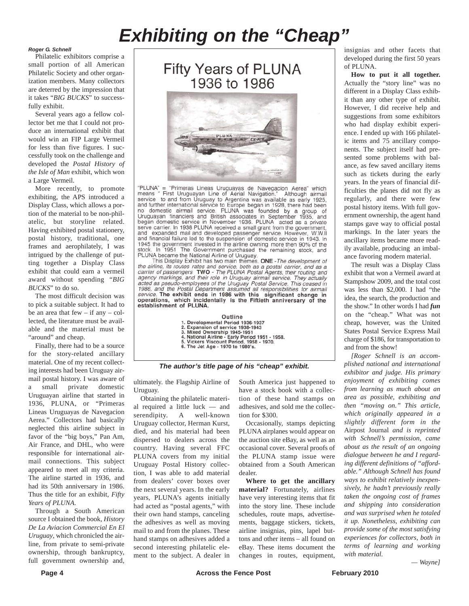# *Exhibiting on the "Cheap"*

#### *Roger G. Schnell*

Philatelic exhibitors comprise a small portion of all American Philatelic Society and other organization members. Many collectors are deterred by the impression that it takes "*BIG BUCKS*" to successfully exhibit.

Several years ago a fellow collector bet me that I could not produce an international exhibit that would win an FIP Large Vermeil for less than five figures. I successfully took on the challenge and developed the *Postal History of the Isle of Man* exhibit, which won a Large Vermeil.

More recently, to promote exhibiting, the APS introduced a Display Class, which allows a portion of the material to be non-philatelic, but storyline related. Having exhibited postal stationery, postal history, traditional, one frames and aerophilately, I was intrigued by the challenge of putting together a Display Class exhibit that could earn a vermeil award without spending "*BIG BUCKS*" to do so.

The most difficult decision was to pick a suitable subject. It had to be an area that few  $-$  if any  $-$  collected, the literature must be available and the material must be "around" and cheap.

Finally, there had to be a source for the story-related ancillary material. One of my recent collecting interests had been Uruguay airmail postal history. I was aware of a small private domestic Uruguayan airline that started in 1936, PLUNA, or "Primeras Lineas Uruguayas de Navegacion Aerea." Collectors had basically neglected this airline subject in favor of the "big boys," Pan Am, Air France, and DHL, who were responsible for international airmail connections. This subject appeared to meet all my criteria. The airline started in 1936, and had its 50th anniversary in 1986. Thus the title for an exhibit, *Fifty Years of PLUNA*.

Through a South American source I obtained the book, *History De La Aviacion Commercial En El Uruguay*, which chronicled the airline, from private to semi-private ownership, through bankruptcy, full government ownership and,





"PLUNA" = "Primeras Lineas Uruguayas de Navegacion Aerea" which<br>means " First Uruguayan Line of Aerial Navigation." Although airmail service to and from Uruguay to Argentina was available as early 1925, service to a and further international service to Europe began in 1928, there had been<br>no domestic airmail service. PLUNA was founded by a group of<br>no domestic airmail service. PLUNA was founded by a group of<br>Uruguayan fin biggan domestic service in November 1936. PLUNA acted as a private<br>serve carrier. In 1938 PLUNA received a small grant from the government,<br>and expanded mail and developed passenger service. However, W.W.II<br>and financial f 1945 the government invested in the airline owning more then 90% of the stock. In 1951 The Government purchased the remaining stock, and PLUNA became the National Airline of Uruguay.<br>This Display Exhibit has two main themes. ONE - The development of

the airline, its routes rates and service, both as a post-the development of<br>actrice, its routes rates and service, both as a postal carrier, and as a<br>carrier of passengers TWO - The PLUNA Postal Agents, their routing and<br> 1986, and the Postal Department assumed all responsibilities for airmail service. The exhibit ends in 1986 with this significant change in operations, which incidentally is the Fiftieth anniversary of the establishment of PLUNA.

| Outline                                         |
|-------------------------------------------------|
| 1. Developmental Period 1936-1937               |
| 2. Expansion of service 1938-1943               |
| 3. Mixed Ownership 1945-1951                    |
| 4. National Airline - Early Period 1951 - 1958. |
| 5. Vickers Viscount Period, 1958 - 1970.        |
| 6. The Jet Age - 1970 to 1980's.                |

*The author's title page of his "cheap" exhibit.*

ultimately. the Flagship Airline of Uruguay.

Obtaining the philatelic material required a little luck — and serendipity. A well-known Uruguay collector, Herman Kurst, died, and his material had been dispersed to dealers across the country. Having several FFC PLUNA covers from my initial Uruguay Postal History collection, I was able to add material from dealers' cover boxes over the next several years. In the early years, PLUNA's agents initially had acted as "postal agents," with their own hand stamps, canceling the adhesives as well as moving mail to and from the planes. These hand stamps on adhesives added a second interesting philatelic element to the subject. A dealer in

South America just happened to have a stock book with a collection of these hand stamps on adhesives, and sold me the collection for \$300.

Occasionally, stamps depicting PLUNA airplanes would appear on the auction site eBay, as well as an occasional cover. Several proofs of the PLUNA stamp issue were obtained from a South American dealer.

**Where to get the ancillary material?** Fortunately, airlines have very interesting items that fit into the story line. These include schedules, route maps, advertisements, baggage stickers, tickets, airline insignias, pins, lapel buttons and other items – all found on eBay. These items document the changes in routes, equipment,

insignias and other facets that developed during the first 50 years of PLUNA.

**How to put it all together.** Actually the "story line" was no different in a Display Class exhibit than any other type of exhibit. However, I did receive help and suggestions from some exhibitors who had display exhibit experience. I ended up with 166 philatelic items and 75 ancillary components. The subject itself had presented some problems with balance, as few saved ancillary items such as tickets during the early years. In the years of financial difficulties the planes did not fly as regularly, and there were few postal history items. With full government ownership, the agent hand stamps gave way to official postal markings. In the later years the ancillary items became more readily available, producing an imbalance favoring modern material.

The result was a Display Class exhibit that won a Vermeil award at Stampshow 2009, and the total cost was less than \$2,000. I had "the idea, the search, the production and the show." In other words I had *fun* on the "cheap." What was not cheap, however, was the United States Postal Service Express Mail charge of \$186, for transportation to and from the show!

*[Roger Schnell is an accomplished national and international exhibitor and judge. His primary enjoyment of exhibiting comes from learning as much about an area as possible, exhibiting and then "moving on." This article, which originally appeared in a slightly different form in the* Airpost Journal *and is reprinted with Schnell's permission, came about as the result of an ongoing dialogue between he and I regarding different definitions of "affordable." Although Schnell has found ways to exhibit relatively inexpensively, he hadn't previously really taken the ongoing cost of frames and shipping into consideration and was surprised when he totaled it up. Nonetheless, exhibiting can provide some of the most satisfying experiences for collectors, both in terms of learning and working with material.*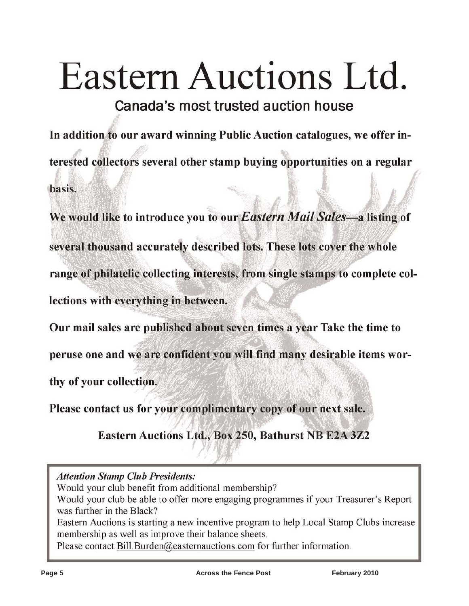# Eastern Auctions Ltd.

Canada's most trusted auction house

In addition to our award winning Public Auction catalogues, we offer interested collectors several other stamp buying opportunities on a regular basis.

We would like to introduce you to our Eastern Mail Sales-a listing of several thousand accurately described lots. These lots cover the whole range of philatelic collecting interests, from single stamps to complete collections with everything in between.

Our mail sales are published about seven times a year Take the time to

peruse one and we are confident you will find many desirable items wor-

thy of your collection.

Please contact us for your complimentary copy of our next sale.

Eastern Auctions Ltd., Box 250, Bathurst NB E2A 3Z2

**Attention Stamp Club Presidents:** 

Would your club benefit from additional membership?

Would your club be able to offer more engaging programmes if your Treasurer's Report was further in the Black?

Eastern Auctions is starting a new incentive program to help Local Stamp Clubs increase membership as well as improve their balance sheets.

Please contact Bill Burden@easternauctions.com for further information.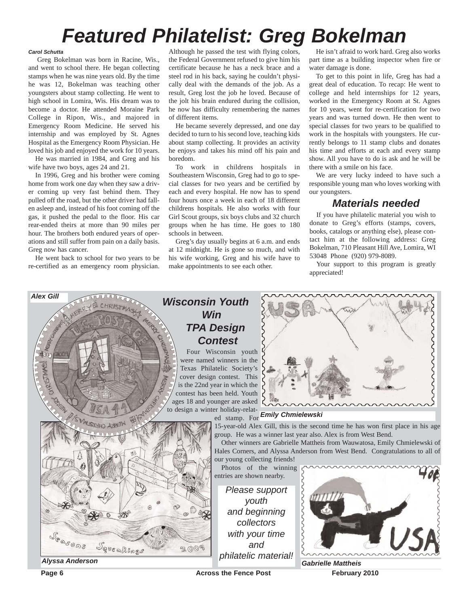# *Featured Philatelist: Greg Bokelman*

#### *Carol Schutta*

Greg Bokelman was born in Racine, Wis., and went to school there. He began collecting stamps when he was nine years old. By the time he was 12, Bokelman was teaching other youngsters about stamp collecting. He went to high school in Lomira, Wis. His dream was to become a doctor. He attended Moraine Park College in Ripon, Wis., and majored in Emergency Room Medicine. He served his internship and was employed by St. Agnes Hospital as the Emergency Room Physician. He loved his job and enjoyed the work for 10 years.

He was married in 1984, and Greg and his wife have two boys, ages 24 and 21.

In 1996, Greg and his brother were coming home from work one day when they saw a driver coming up very fast behind them. They pulled off the road, but the other driver had fallen asleep and, instead of his foot coming off the gas, it pushed the pedal to the floor. His car rear-ended theirs at more than 90 miles per hour. The brothers both endured years of operations and still suffer from pain on a daily basis. Greg now has cancer.

He went back to school for two years to be re-certified as an emergency room physician.

Although he passed the test with flying colors, the Federal Government refused to give him his certificate because he has a neck brace and a steel rod in his back, saying he couldn't physically deal with the demands of the job. As a result, Greg lost the job he loved. Because of the jolt his brain endured during the collision, he now has difficulty remembering the names of different items.

He became severely depressed, and one day decided to turn to his second love, teaching kids about stamp collecting. It provides an activity he enjoys and takes his mind off his pain and boredom.

To work in childrens hospitals in Southeastern Wisconsin, Greg had to go to special classes for two years and be certified by each and every hospital. He now has to spend four hours once a week in each of 18 different childrens hospitals. He also works with four Girl Scout groups, six boys clubs and 32 church groups when he has time. He goes to 180 schools in between.

Greg's day usually begins at 6 a.m. and ends at 12 midnight. He is gone so much, and with his wife working, Greg and his wife have to make appointments to see each other.

He isn't afraid to work hard. Greg also works part time as a building inspector when fire or water damage is done.

To get to this point in life, Greg has had a great deal of education. To recap: He went to college and held internships for 12 years, worked in the Emergency Room at St. Agnes for 10 years, went for re-certification for two years and was turned down. He then went to special classes for two years to be qualified to work in the hospitals with youngsters. He currently belongs to 11 stamp clubs and donates his time and efforts at each and every stamp show. All you have to do is ask and he will be there with a smile on his face.

We are very lucky indeed to have such a responsible young man who loves working with our youngsters.

# *Materials needed*

If you have philatelic material you wish to donate to Greg's efforts (stamps, covers, books, catalogs or anything else), please contact him at the following address: Greg Bokelman, 710 Pleasant Hill Ave, Lomira, WI 53048 Phone (920) 979-8089.

Your support to this program is greatly appreciated!

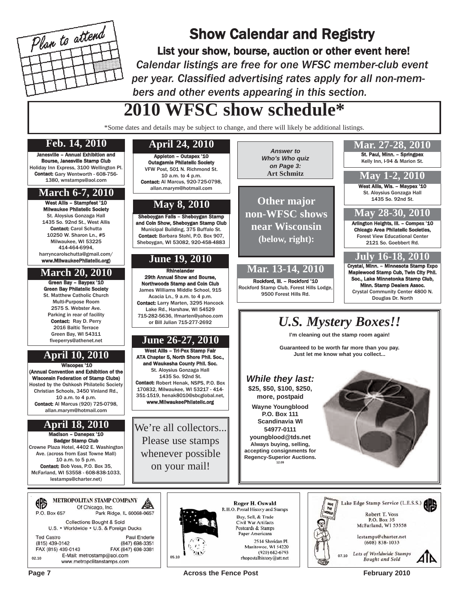

# Show Calendar and Registry

List your show, bourse, auction or other event here! *Calendar listings are free for one WFSC member-club event per year. Classified advertising rates apply for all non-members and other events appearing in this section.*

*Answer to*

# **2010 WFSC show schedule\***

\*Some dates and details may be subject to change, and there will likely be additional listings.

# Janesville – Annual Exhibition and

Bourse, Janesville Stamp Club Holiday Inn Express, 3100 Wellington Pl. Contact: Gary Wentworth - 608-756- 1380, wnstamps@aol.com

### **March 6-7, 2010**

West Allis - Stampfest '10 Milwaukee Philatelic Society St. Aloysius Gonzaga Hall 1435 So. 92nd St., West Allis Contact: Carol Schutta 10250 W. Sharon Ln., #5 Milwaukee, WI 53225 414-464-6994, harryncarolschutta@gmail.com/ www.MilwaukeePhilatelic.org)

Green Bay – Baypex '10 Green Bay Philatelic Society St. Matthew Catholic Church Multi-Purpose Room 2575 S. Webster Ave. Parking in rear of facility Contact: Ray D. Perry 2016 Baltic Terrace Green Bay, WI 54311 fiveperrys@athenet.net

# **April 10, 2010**

Wiscopex '10 (Annual Convention and Exhibition of the Wisconsin Federation of Stamp Clubs) Hosted by the Oshkosh Philatelic Society Christian Schools, 3450 Vinland Rd., 10 a.m. to 4 p.m. Contact: Al Marcus (920) 725-0798, allan.marym@hotmail.com

# **April 18, 2010**

Madison – Danepex '10 Badger Stamp Club Crowne Plaza Hotel, 4402 E. Washington Ave. (across from East Towne Mall) 10 a.m. to 5 p.m. Contact: Bob Voss, P.O. Box 35, McFarland, WI 53558 - 608-838-1033, lestamps@charter.net)

|                                                                   |  | <b>METROPOLITAN STAMP COMPANY</b><br>Of Chicago, Inc. |
|-------------------------------------------------------------------|--|-------------------------------------------------------|
| P.O. Box 657                                                      |  | Park Ridge, IL 60068-0657                             |
|                                                                   |  | <b>Collections Bought &amp; Sold</b>                  |
|                                                                   |  | U.S. • Worldwide • U.S. & Foreign Ducks               |
| <b>Ted Castro</b>                                                 |  | <b>Paul Enderle</b>                                   |
| (815) 439-0142                                                    |  | (847) 698-3351                                        |
| FAX (815) 439-0143                                                |  | FAX (847) 698-3381                                    |
| E-Mail: metrostamp@aol.com<br>02.10<br>www.metropolitanstamps.com |  |                                                       |

### **Feb. 14, 2010 April 24, 2010**

St. Paul, Minn. – Springpex Appleton – Outapex '10 *Who's Who quiz* Kelly Inn, I-94 & Marion St. Outagamie Philatelic Society *on Page 3:* VFW Post, 501 N. Richmond St. **Art Schmitz May 1-2, 2010** 10 a.m. to 4 p.m. Contact: Al Marcus, 920-725-0798, West Allis, Wis. - Maypex '10 allan.marym@hotmail.com St. Aloysius Gonzaga Hall **Other major** 1435 So. 92nd St. **May 8, 2010 May 28-30, 2010 non-WFSC shows** Sheboygan Falls – Sheboygan Stamp and Coin Show, Sheboygan Stamp Club Arlington Heights, Ill. – Compex '10 **near Wisconsin** Chicago Area Philatelic Societies, Municipal Building, 375 Buffalo St. Contact: Barbara Stohl, P.O. Box 907, Forest View Educational Center **(below, right):** Sheboygan, WI 53082, 920-458-4883 2121 So. Goebbert Rd. **July 16-18, 2010 June 19, 2010** Crystal, Minn. – Minnesota Stamp Expo **March 20, 2010 Mar. 13-14, 2010** Rhinelander **Make Stamp Cub, Twin City Phil.** 29th Annual Show and Bourse, Soc., Lake Minnetonka Stamp Club, Rockford, Ill. – Rockford '10 Northwoods Stamp and Coin Club Minn. Stamp Dealers Assoc. Rockford Stamp Club, Forest Hills Lodge, James Williams Middle School, 915 Crystal Community Center 4800 N. 9500 Forest Hills Rd. Acacia Ln., 9 a.m. to 4 p.m. Douglas Dr. North Contact: Larry Marten, 3295 Hancock Lake Rd., Harshaw, WI 54529 715-282-5636, lfmarten@yahoo.com *U.S. Mystery Boxes!!* or Bill Julian 715-277-2692 **I'm cleaning out the stamp room again! June 26-27, 2010 Guaranteed to be worth far more than you pay.** West Allis – Tri-Pex Stamp Fair **Just let me know what you collect...** ATA Chapter 5, North Shore Phil. Soc., and Waukesha County Phil. Soc. St. Aloysius Gonzaga Hall 1435 So. 92nd St. *While they last:* Contact: Robert Henak, NSPS, P.O. Box **\$25, \$50, \$100, \$250,** 170832, Milwaukee, WI 53217 - 414- 351-1519, henak8010@sbcglobal.net, **more, postpaid** www.MilwaukeePhilatelic.org **Wayne Youngblood P.O. Box 111 Scandinavia WI** We're all collectors... **54977-0111 youngblood@tds.net** Please use stamps **Always buying, selling, accepting consignments for** whenever possible **Regency-Superior Auctions. 12.09** on your mail!Roger H. Oswald R.H.O. Postal History and Stamps

Buy, Sell, & Trade

Civil War Artifacts

Postcards & Stamps Paper Americana



Page 7 **Across the Fence Post** February 2010

**Mar. 27-28, 2010**